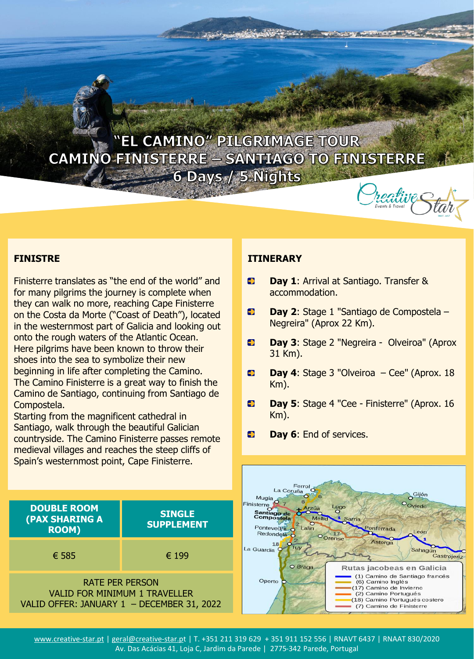

# **FINISTRE**

Finisterre translates as "the end of the world" and for many pilgrims the journey is complete when they can walk no more, reaching Cape Finisterre on the Costa da Morte ("Coast of Death"), located in the westernmost part of Galicia and looking out onto the rough waters of the Atlantic Ocean. Here pilgrims have been known to throw their shoes into the sea to symbolize their new beginning in life after completing the Camino. The Camino Finisterre is a great way to finish the Camino de Santiago, continuing from Santiago de Compostela.

Starting from the magnificent cathedral in Santiago, walk through the beautiful Galician countryside. The Camino Finisterre passes remote medieval villages and reaches the steep cliffs of Spain's westernmost point, Cape Finisterre.

### **ITINERARY**

- $\blacksquare$ **Day 1**: Arrival at Santiago. Transfer & accommodation.
- $\bullet$ **Day 2**: Stage 1 "Santiago de Compostela – Negreira" (Aprox 22 Km).
- **Day 3**: Stage 2 "Negreira Olveiroa" (Aprox  $\bullet$ 31 Km).
- Đ **Day 4**: Stage 3 "Olveiroa – Cee" (Aprox. 18 Km).
- $\bullet$ **Day 5**: Stage 4 "Cee - Finisterre" (Aprox. 16 Km).
- $\rightarrow$ **Day 6**: End of services.



www.creative-star.pt | geral@creative-star.pt | T. +351 211 319 629 + 351 911 152 556 | RNAVT 6437 | RNAAT 830/2020 Av. Das Acácias 41, Loja C, Jardim da Parede | 2775-342 Parede, Portugal